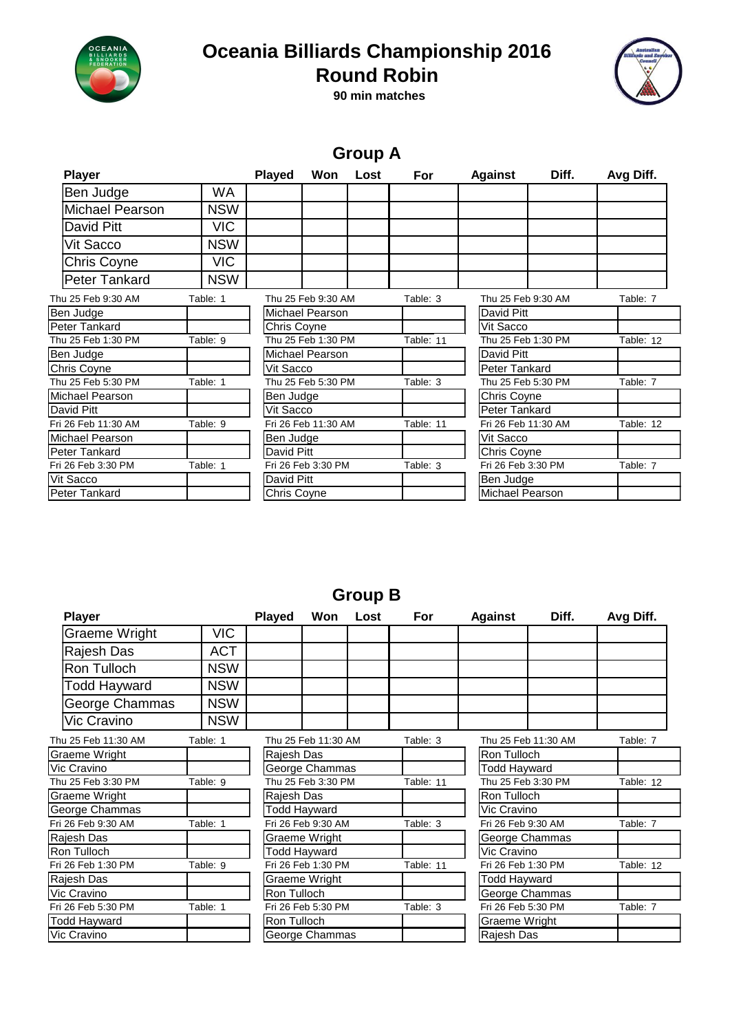

## **Oceania Billiards Championship 2016**



**90 min matches Round Robin**

### **Group A**

| <b>Player</b>          |            | <b>Played</b> | Won                    | Lost | For       | <b>Against</b>     | Diff.               | Avg Diff. |
|------------------------|------------|---------------|------------------------|------|-----------|--------------------|---------------------|-----------|
| Ben Judge              | WA         |               |                        |      |           |                    |                     |           |
| <b>Michael Pearson</b> | <b>NSW</b> |               |                        |      |           |                    |                     |           |
| David Pitt             | <b>VIC</b> |               |                        |      |           |                    |                     |           |
| Vit Sacco              | <b>NSW</b> |               |                        |      |           |                    |                     |           |
| Chris Coyne            | <b>VIC</b> |               |                        |      |           |                    |                     |           |
| <b>Peter Tankard</b>   | <b>NSW</b> |               |                        |      |           |                    |                     |           |
| Thu 25 Feb 9:30 AM     | Table: 1   |               | Thu 25 Feb 9:30 AM     |      | Table: 3  | Thu 25 Feb 9:30 AM |                     | Table: 7  |
| Ben Judge              |            |               | Michael Pearson        |      |           | David Pitt         |                     |           |
| Peter Tankard          |            | Chris Coyne   |                        |      |           | Vit Sacco          |                     |           |
| Thu 25 Feb 1:30 PM     | Table: 9   |               | Thu 25 Feb 1:30 PM     |      | Table: 11 | Thu 25 Feb 1:30 PM |                     | Table: 12 |
| Ben Judge              |            |               | <b>Michael Pearson</b> |      |           | David Pitt         |                     |           |
| Chris Coyne            |            | Vit Sacco     |                        |      |           | Peter Tankard      |                     |           |
| Thu 25 Feb 5:30 PM     | Table: 1   |               | Thu 25 Feb 5:30 PM     |      | Table: 3  | Thu 25 Feb 5:30 PM |                     | Table: 7  |
| Michael Pearson        |            | Ben Judge     |                        |      |           | Chris Coyne        |                     |           |
| David Pitt             |            | Vit Sacco     |                        |      |           | Peter Tankard      |                     |           |
| Fri 26 Feb 11:30 AM    | Table: 9   |               | Fri 26 Feb 11:30 AM    |      | Table: 11 |                    | Fri 26 Feb 11:30 AM |           |
| Michael Pearson        |            | Ben Judge     |                        |      |           | Vit Sacco          |                     |           |
| Peter Tankard          |            | David Pitt    |                        |      |           | Chris Coyne        |                     |           |
| Fri 26 Feb 3:30 PM     | Table: 1   |               | Fri 26 Feb 3:30 PM     |      | Table: 3  | Fri 26 Feb 3:30 PM |                     | Table: 7  |
| Vit Sacco              |            | David Pitt    |                        |      |           | Ben Judge          |                     |           |
| Peter Tankard          |            | Chris Coyne   |                        |      |           | Michael Pearson    |                     |           |

#### **Group B**

| <b>Player</b>                  |            | <b>Played</b>      | Won                 | Lost                                                   | For       | <b>Against</b>     | Diff.                          | Avg Diff. |  |
|--------------------------------|------------|--------------------|---------------------|--------------------------------------------------------|-----------|--------------------|--------------------------------|-----------|--|
| <b>Graeme Wright</b>           | VIC        |                    |                     |                                                        |           |                    |                                |           |  |
| Rajesh Das                     | <b>ACT</b> |                    |                     |                                                        |           |                    |                                |           |  |
| Ron Tulloch                    | <b>NSW</b> |                    |                     |                                                        |           |                    |                                |           |  |
| Todd Hayward                   | <b>NSW</b> |                    |                     |                                                        |           |                    |                                |           |  |
| George Chammas                 | <b>NSW</b> |                    |                     |                                                        |           |                    |                                |           |  |
| <b>Vic Cravino</b>             | <b>NSW</b> |                    |                     |                                                        |           |                    |                                |           |  |
| Thu 25 Feb 11:30 AM            | Table: 1   |                    |                     | Thu 25 Feb 11:30 AM<br>Table: 3<br>Thu 25 Feb 11:30 AM |           | Table: 7           |                                |           |  |
| Graeme Wright                  |            |                    | Rajesh Das          |                                                        |           |                    | Ron Tulloch                    |           |  |
| Vic Cravino                    |            |                    | George Chammas      |                                                        |           |                    | Todd Hayward                   |           |  |
| Thu 25 Feb 3:30 PM<br>Table: 9 |            | Thu 25 Feb 3:30 PM |                     |                                                        | Table: 11 |                    | Thu 25 Feb 3:30 PM             |           |  |
| Graeme Wright                  |            |                    | Rajesh Das          |                                                        |           | Ron Tulloch        |                                |           |  |
| George Chammas                 |            | Todd Hayward       |                     |                                                        |           |                    | Vic Cravino                    |           |  |
| Fri 26 Feb 9:30 AM<br>Table: 1 |            |                    | Fri 26 Feb 9:30 AM  |                                                        |           |                    | Fri 26 Feb 9:30 AM             |           |  |
| Rajesh Das                     |            |                    | Graeme Wright       |                                                        |           |                    | George Chammas                 |           |  |
| Ron Tulloch                    |            |                    | <b>Todd Hayward</b> |                                                        |           |                    | Vic Cravino                    |           |  |
| Fri 26 Feb 1:30 PM<br>Table: 9 |            |                    | Fri 26 Feb 1:30 PM  |                                                        |           | Fri 26 Feb 1:30 PM | Table: 12                      |           |  |
| Rajesh Das                     |            |                    | Graeme Wright       |                                                        |           |                    | <b>Todd Hayward</b>            |           |  |
| Vic Cravino                    |            | Ron Tulloch        |                     |                                                        |           |                    | George Chammas                 |           |  |
| Fri 26 Feb 5:30 PM<br>Table: 1 |            |                    | Fri 26 Feb 5:30 PM  |                                                        |           |                    | Fri 26 Feb 5:30 PM<br>Table: 7 |           |  |
| Todd Hayward                   |            |                    | Ron Tulloch         |                                                        |           | Graeme Wright      |                                |           |  |
| Vic Cravino                    |            |                    | George Chammas      |                                                        |           | Rajesh Das         |                                |           |  |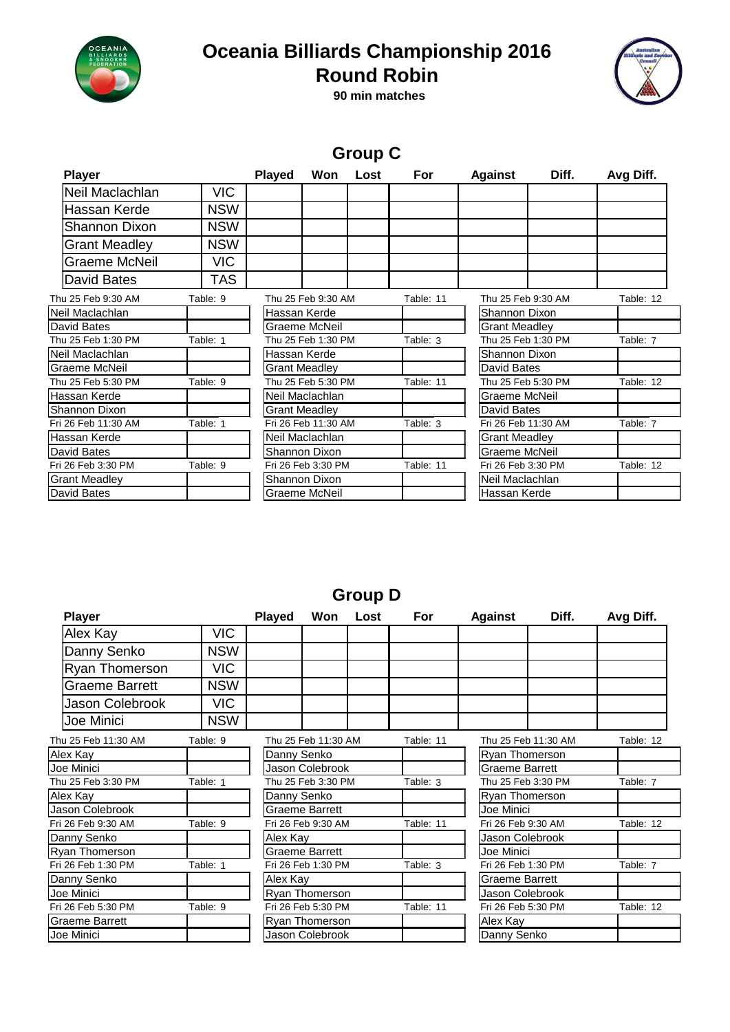

## **Oceania Billiards Championship 2016**



**90 min matches Round Robin**

|                      |            |               |                      | <b>Group C</b> |           |                      |       |           |
|----------------------|------------|---------------|----------------------|----------------|-----------|----------------------|-------|-----------|
| <b>Player</b>        |            | <b>Played</b> | Won                  | Lost           | For       | <b>Against</b>       | Diff. | Avg Diff. |
| Neil Maclachlan      | <b>VIC</b> |               |                      |                |           |                      |       |           |
| Hassan Kerde         | <b>NSW</b> |               |                      |                |           |                      |       |           |
| <b>Shannon Dixon</b> | <b>NSW</b> |               |                      |                |           |                      |       |           |
| <b>Grant Meadley</b> | <b>NSW</b> |               |                      |                |           |                      |       |           |
| Graeme McNeil        | <b>VIC</b> |               |                      |                |           |                      |       |           |
| David Bates          | <b>TAS</b> |               |                      |                |           |                      |       |           |
| Thu 25 Feb 9:30 AM   | Table: 9   |               | Thu 25 Feb 9:30 AM   |                | Table: 11 | Thu 25 Feb 9:30 AM   |       | Table: 12 |
| Neil Maclachlan      |            | Hassan Kerde  |                      |                |           | Shannon Dixon        |       |           |
| David Bates          |            |               | Graeme McNeil        |                |           | <b>Grant Meadley</b> |       |           |
| Thu 25 Feb 1:30 PM   | Table: 1   |               | Thu 25 Feb 1:30 PM   |                | Table: 3  | Thu 25 Feb 1:30 PM   |       | Table: 7  |
| Neil Maclachlan      |            | Hassan Kerde  |                      |                |           | Shannon Dixon        |       |           |
| Graeme McNeil        |            |               | Grant Meadley        |                |           | David Bates          |       |           |
| Thu 25 Feb 5:30 PM   | Table: 9   |               | Thu 25 Feb 5:30 PM   |                | Table: 11 | Thu 25 Feb 5:30 PM   |       | Table: 12 |
| Hassan Kerde         |            |               | Neil Maclachlan      |                |           | Graeme McNeil        |       |           |
| Shannon Dixon        |            |               | <b>Grant Meadley</b> |                |           | David Bates          |       |           |
| Fri 26 Feb 11:30 AM  | Table: 1   |               | Fri 26 Feb 11:30 AM  |                | Table: 3  | Fri 26 Feb 11:30 AM  |       | Table: 7  |
| Hassan Kerde         |            |               | Neil Maclachlan      |                |           | <b>Grant Meadley</b> |       |           |
| David Bates          |            |               | Shannon Dixon        |                |           | Graeme McNeil        |       |           |
| Fri 26 Feb 3:30 PM   | Table: 9   |               | Fri 26 Feb 3:30 PM   |                | Table: 11 | Fri 26 Feb 3:30 PM   |       | Table: 12 |
| <b>Grant Meadley</b> |            |               | Shannon Dixon        |                |           | Neil Maclachlan      |       |           |
| David Bates          |            |               | Graeme McNeil        |                |           | Hassan Kerde         |       |           |

#### **Group D**

| <b>Player</b>         |            | <b>Played</b>      | Won                   | Lost | For       | <b>Against</b>        | Diff.               | Avg Diff. |
|-----------------------|------------|--------------------|-----------------------|------|-----------|-----------------------|---------------------|-----------|
| Alex Kay              | <b>VIC</b> |                    |                       |      |           |                       |                     |           |
| Danny Senko           | <b>NSW</b> |                    |                       |      |           |                       |                     |           |
| Ryan Thomerson        | <b>VIC</b> |                    |                       |      |           |                       |                     |           |
| Graeme Barrett        | <b>NSW</b> |                    |                       |      |           |                       |                     |           |
| Jason Colebrook       | <b>VIC</b> |                    |                       |      |           |                       |                     |           |
| Joe Minici            | <b>NSW</b> |                    |                       |      |           |                       |                     |           |
| Thu 25 Feb 11:30 AM   | Table: 9   |                    | Thu 25 Feb 11:30 AM   |      | Table: 11 |                       | Thu 25 Feb 11:30 AM | Table: 12 |
| Alex Kay              |            | Danny Senko        |                       |      |           | <b>Ryan Thomerson</b> |                     |           |
| Joe Minici            |            |                    | Jason Colebrook       |      |           | <b>Graeme Barrett</b> |                     |           |
| Thu 25 Feb 3:30 PM    | Table: 1   | Thu 25 Feb 3:30 PM |                       |      | Table: 3  |                       | Thu 25 Feb 3:30 PM  |           |
| Alex Kay              |            |                    | Danny Senko           |      |           | Ryan Thomerson        |                     |           |
| Jason Colebrook       |            |                    | <b>Graeme Barrett</b> |      |           | Joe Minici            |                     |           |
| Fri 26 Feb 9:30 AM    | Table: 9   |                    | Fri 26 Feb 9:30 AM    |      | Table: 11 | Fri 26 Feb 9:30 AM    |                     | Table: 12 |
| Danny Senko           |            |                    | Alex Kay              |      |           | Jason Colebrook       |                     |           |
| Ryan Thomerson        |            |                    | <b>Graeme Barrett</b> |      |           | Joe Minici            |                     |           |
| Fri 26 Feb 1:30 PM    | Table: 1   |                    | Fri 26 Feb 1:30 PM    |      |           | Fri 26 Feb 1:30 PM    | Table: 7            |           |
| Danny Senko           |            |                    | Alex Kay              |      |           | <b>Graeme Barrett</b> |                     |           |
| Joe Minici            |            |                    | Ryan Thomerson        |      |           | Jason Colebrook       |                     |           |
| Fri 26 Feb 5:30 PM    | Table: 9   |                    | Fri 26 Feb 5:30 PM    |      | Table: 11 |                       | Fri 26 Feb 5:30 PM  |           |
| <b>Graeme Barrett</b> |            |                    | Ryan Thomerson        |      |           | Alex Kay              |                     |           |
| Joe Minici            |            |                    | Jason Colebrook       |      |           | Danny Senko           |                     |           |